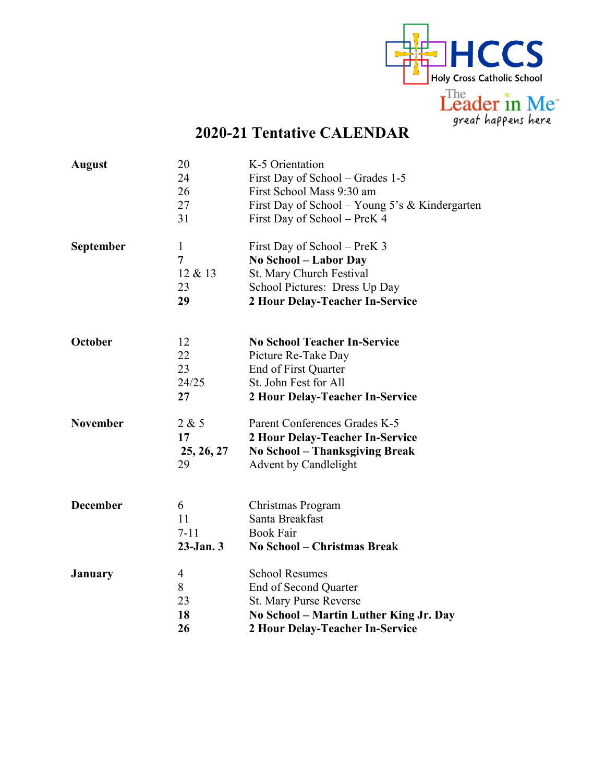

## **2020-21 Tentative CALENDAR**

| <b>August</b>    | 20<br>24<br>26<br>27<br>31               | K-5 Orientation<br>First Day of School – Grades 1-5<br>First School Mass 9:30 am<br>First Day of School – Young 5's & Kindergarten<br>First Day of School – PreK 4 |
|------------------|------------------------------------------|--------------------------------------------------------------------------------------------------------------------------------------------------------------------|
| <b>September</b> | $\mathbf{1}$<br>7<br>12 & 13<br>23<br>29 | First Day of School – PreK 3<br>No School – Labor Day<br>St. Mary Church Festival<br>School Pictures: Dress Up Day<br>2 Hour Delay-Teacher In-Service              |
| October          | 12<br>22<br>23<br>24/25<br>27            | <b>No School Teacher In-Service</b><br>Picture Re-Take Day<br>End of First Quarter<br>St. John Fest for All<br>2 Hour Delay-Teacher In-Service                     |
| <b>November</b>  | 2 & 5<br>17<br>25, 26, 27<br>29          | Parent Conferences Grades K-5<br>2 Hour Delay-Teacher In-Service<br><b>No School - Thanksgiving Break</b><br><b>Advent by Candlelight</b>                          |
| <b>December</b>  | 6<br>11<br>$7 - 11$<br>$23$ -Jan. $3$    | Christmas Program<br>Santa Breakfast<br><b>Book Fair</b><br><b>No School - Christmas Break</b>                                                                     |
| <b>January</b>   | 4<br>8<br>23<br>18<br>26                 | <b>School Resumes</b><br>End of Second Quarter<br><b>St. Mary Purse Reverse</b><br>No School - Martin Luther King Jr. Day<br>2 Hour Delay-Teacher In-Service       |